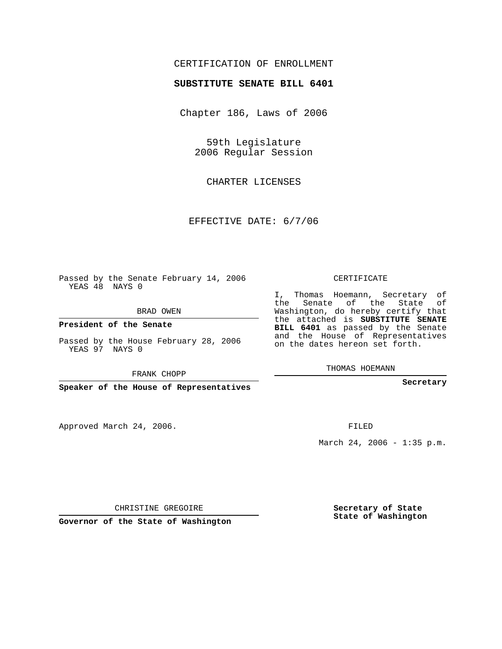## CERTIFICATION OF ENROLLMENT

## **SUBSTITUTE SENATE BILL 6401**

Chapter 186, Laws of 2006

59th Legislature 2006 Regular Session

CHARTER LICENSES

EFFECTIVE DATE: 6/7/06

Passed by the Senate February 14, 2006 YEAS 48 NAYS 0

BRAD OWEN

**President of the Senate**

Passed by the House February 28, 2006 YEAS 97 NAYS 0

FRANK CHOPP

**Speaker of the House of Representatives**

Approved March 24, 2006.

CERTIFICATE

I, Thomas Hoemann, Secretary of the Senate of the State of Washington, do hereby certify that the attached is **SUBSTITUTE SENATE BILL 6401** as passed by the Senate and the House of Representatives on the dates hereon set forth.

THOMAS HOEMANN

**Secretary**

FILED

March 24, 2006 - 1:35 p.m.

CHRISTINE GREGOIRE

**Governor of the State of Washington**

**Secretary of State State of Washington**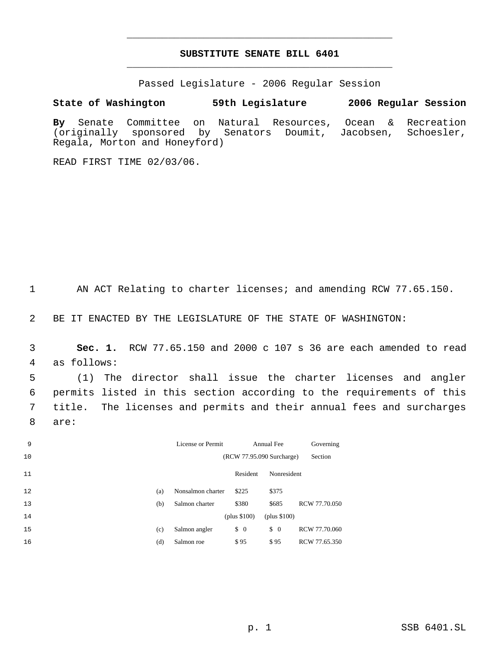## **SUBSTITUTE SENATE BILL 6401** \_\_\_\_\_\_\_\_\_\_\_\_\_\_\_\_\_\_\_\_\_\_\_\_\_\_\_\_\_\_\_\_\_\_\_\_\_\_\_\_\_\_\_\_\_

\_\_\_\_\_\_\_\_\_\_\_\_\_\_\_\_\_\_\_\_\_\_\_\_\_\_\_\_\_\_\_\_\_\_\_\_\_\_\_\_\_\_\_\_\_

Passed Legislature - 2006 Regular Session

## **State of Washington 59th Legislature 2006 Regular Session**

**By** Senate Committee on Natural Resources, Ocean & Recreation (originally sponsored by Senators Doumit, Jacobsen, Schoesler, Regala, Morton and Honeyford)

READ FIRST TIME 02/03/06.

AN ACT Relating to charter licenses; and amending RCW 77.65.150.

BE IT ENACTED BY THE LEGISLATURE OF THE STATE OF WASHINGTON:

 **Sec. 1.** RCW 77.65.150 and 2000 c 107 s 36 are each amended to read as follows:

 (1) The director shall issue the charter licenses and angler permits listed in this section according to the requirements of this title. The licenses and permits and their annual fees and surcharges are:

| 9  |     | License or Permit |                                      | Annual Fee    | Governing     |
|----|-----|-------------------|--------------------------------------|---------------|---------------|
| 10 |     |                   | (RCW 77.95.090 Surcharge)            |               | Section       |
| 11 |     |                   | Resident                             | Nonresident   |               |
| 12 | (a) | Nonsalmon charter | \$225                                | \$375         |               |
| 13 | (b) | Salmon charter    | \$380                                | \$685         | RCW 77.70.050 |
| 14 |     |                   | (plus \$100)                         | (plus \$100)  |               |
| 15 | (c) | Salmon angler     | $\begin{matrix} 0 \\ 0 \end{matrix}$ | $\frac{1}{2}$ | RCW 77.70.060 |
| 16 | (d) | Salmon roe        | \$95                                 | \$95          | RCW 77.65.350 |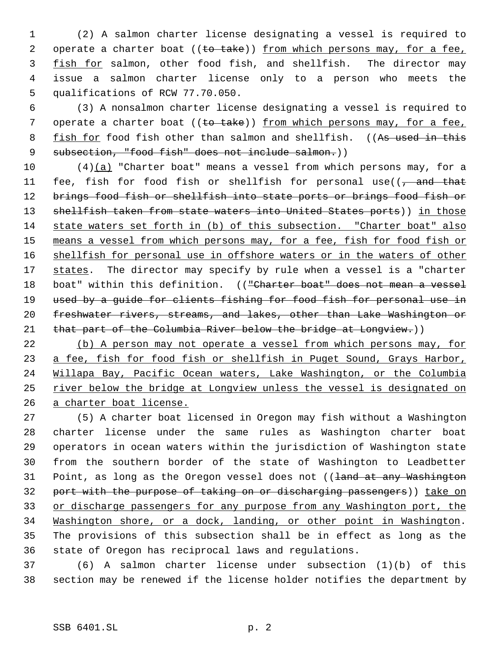(2) A salmon charter license designating a vessel is required to 2 operate a charter boat ((to take)) from which persons may, for a fee, fish for salmon, other food fish, and shellfish. The director may issue a salmon charter license only to a person who meets the qualifications of RCW 77.70.050.

 (3) A nonsalmon charter license designating a vessel is required to 7 operate a charter boat ((to take)) from which persons may, for a fee, 8 fish for food fish other than salmon and shellfish. ((As used in this 9 subsection, "food fish" does not include salmon.))

 (4)(a) "Charter boat" means a vessel from which persons may, for a 11 fee, fish for food fish or shellfish for personal use( $\sqrt{7}$  and that 12 brings food fish or shellfish into state ports or brings food fish or 13 shellfish taken from state waters into United States ports)) in those state waters set forth in (b) of this subsection. "Charter boat" also means a vessel from which persons may, for a fee, fish for food fish or shellfish for personal use in offshore waters or in the waters of other 17 states. The director may specify by rule when a vessel is a "charter 18 boat" within this definition. (("Charter boat" does not mean a vessel 19 used by a guide for clients fishing for food fish for personal use in freshwater rivers, streams, and lakes, other than Lake Washington or 21 that part of the Columbia River below the bridge at Longview.))

22 (b) A person may not operate a vessel from which persons may, for a fee, fish for food fish or shellfish in Puget Sound, Grays Harbor, Willapa Bay, Pacific Ocean waters, Lake Washington, or the Columbia river below the bridge at Longview unless the vessel is designated on a charter boat license.

 (5) A charter boat licensed in Oregon may fish without a Washington charter license under the same rules as Washington charter boat operators in ocean waters within the jurisdiction of Washington state from the southern border of the state of Washington to Leadbetter 31 Point, as long as the Oregon vessel does not ((land at any Washington port with the purpose of taking on or discharging passengers)) take on 33 or discharge passengers for any purpose from any Washington port, the Washington shore, or a dock, landing, or other point in Washington. The provisions of this subsection shall be in effect as long as the state of Oregon has reciprocal laws and regulations.

 (6) A salmon charter license under subsection (1)(b) of this section may be renewed if the license holder notifies the department by